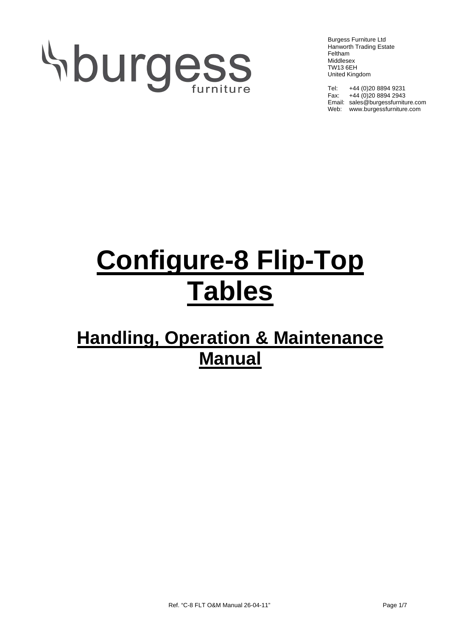# Aburgess

Burgess Furniture Ltd Hanworth Trading Estate Feltham Middlesex TW13 6EH United Kingdom

Tel: +44 (0)20 8894 9231 Fax: +44 (0) 20 8894 2943 Email: sales@burgessfurniture.com Web: www.burgessfurniture.com

## **Configure-8 Flip-Top Tables**

### **Handling, Operation & Maintenance Manual**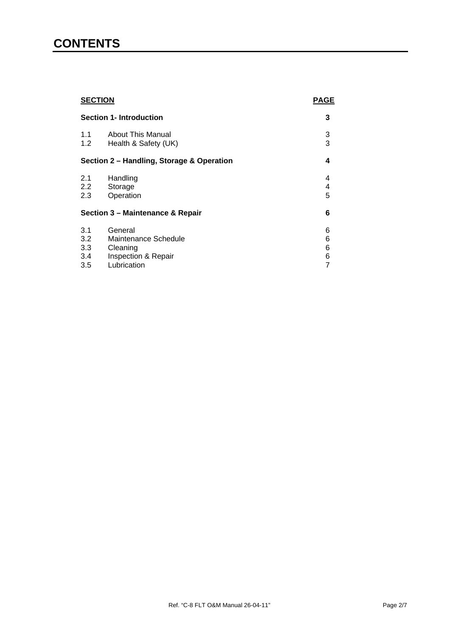#### **CONTENTS**

| <b>SECTION</b><br><b>Section 1- Introduction</b> |                          | <b>PAGE</b> |
|--------------------------------------------------|--------------------------|-------------|
|                                                  |                          | 3           |
| 1.1                                              | <b>About This Manual</b> | 3           |
| 1.2                                              | Health & Safety (UK)     | 3           |
| Section 2 - Handling, Storage & Operation        |                          | 4           |
| 2.1                                              | Handling                 | 4           |
| $2.2^{\circ}$                                    | Storage                  | 4           |
| 2.3                                              | Operation                | 5           |
| Section 3 - Maintenance & Repair                 |                          | 6           |
| 3.1                                              | General                  | 6           |
| 3.2                                              | Maintenance Schedule     | 6           |
| 3.3                                              | Cleaning                 | 6           |
| 3.4                                              | Inspection & Repair      | 6           |
| 3.5                                              | Lubrication              | 7           |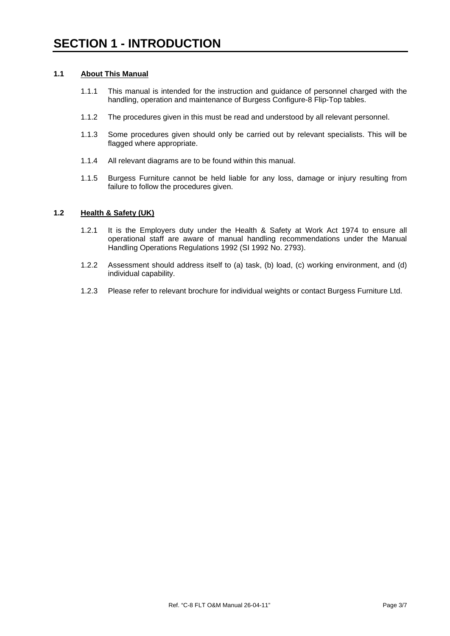#### **1.1 About This Manual**

- 1.1.1 This manual is intended for the instruction and guidance of personnel charged with the handling, operation and maintenance of Burgess Configure-8 Flip-Top tables.
- 1.1.2 The procedures given in this must be read and understood by all relevant personnel.
- 1.1.3 Some procedures given should only be carried out by relevant specialists. This will be flagged where appropriate.
- 1.1.4 All relevant diagrams are to be found within this manual.
- 1.1.5 Burgess Furniture cannot be held liable for any loss, damage or injury resulting from failure to follow the procedures given.

#### **1.2 Health & Safety (UK)**

- 1.2.1 It is the Employers duty under the Health & Safety at Work Act 1974 to ensure all operational staff are aware of manual handling recommendations under the Manual Handling Operations Regulations 1992 (SI 1992 No. 2793).
- 1.2.2 Assessment should address itself to (a) task, (b) load, (c) working environment, and (d) individual capability.
- 1.2.3 Please refer to relevant brochure for individual weights or contact Burgess Furniture Ltd.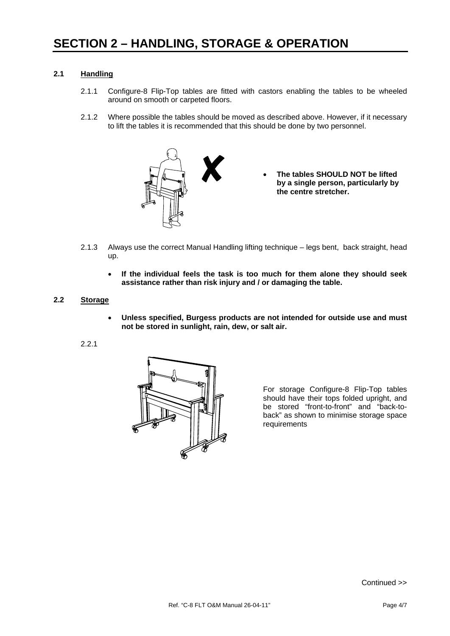#### **2.1 Handling**

- 2.1.1 Configure-8 Flip-Top tables are fitted with castors enabling the tables to be wheeled around on smooth or carpeted floors.
- 2.1.2 Where possible the tables should be moved as described above. However, if it necessary to lift the tables it is recommended that this should be done by two personnel.



- **The tables SHOULD NOT be lifted by a single person, particularly by the centre stretcher.**
- 2.1.3 Always use the correct Manual Handling lifting technique legs bent, back straight, head up.
	- **If the individual feels the task is too much for them alone they should seek assistance rather than risk injury and / or damaging the table.**

#### **2.2 Storage**

• **Unless specified, Burgess products are not intended for outside use and must not be stored in sunlight, rain, dew, or salt air.** 

#### 2.2.1



For storage Configure-8 Flip-Top tables should have their tops folded upright, and be stored "front-to-front" and "back-toback" as shown to minimise storage space requirements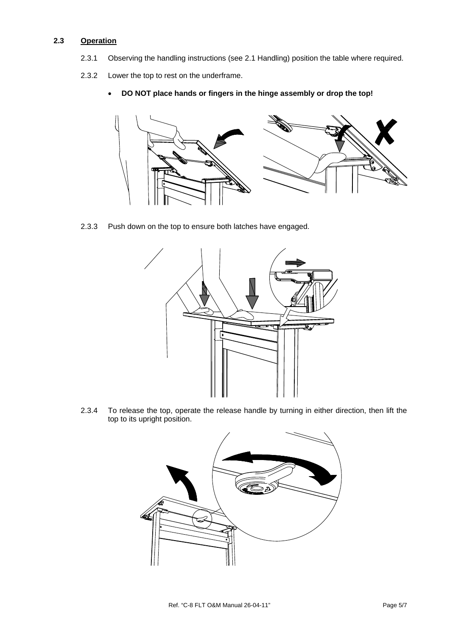#### **2.3 Operation**

- 2.3.1 Observing the handling instructions (see 2.1 Handling) position the table where required.
- 2.3.2 Lower the top to rest on the underframe.
	- **DO NOT place hands or fingers in the hinge assembly or drop the top!**



2.3.3 Push down on the top to ensure both latches have engaged.



2.3.4 To release the top, operate the release handle by turning in either direction, then lift the top to its upright position.

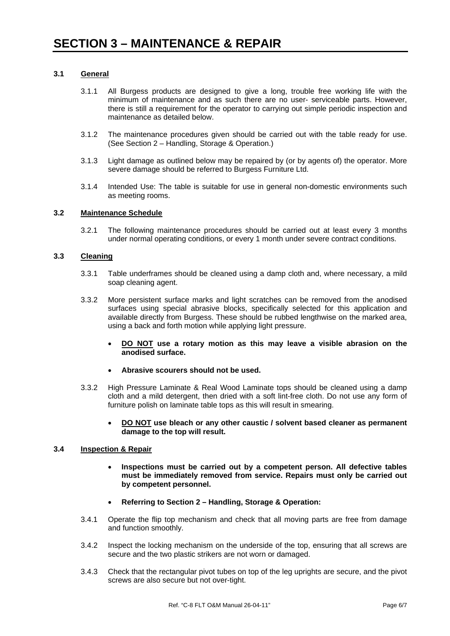#### **3.1 General**

- 3.1.1 All Burgess products are designed to give a long, trouble free working life with the minimum of maintenance and as such there are no user- serviceable parts. However, there is still a requirement for the operator to carrying out simple periodic inspection and maintenance as detailed below.
- 3.1.2 The maintenance procedures given should be carried out with the table ready for use. (See Section 2 – Handling, Storage & Operation.)
- 3.1.3 Light damage as outlined below may be repaired by (or by agents of) the operator. More severe damage should be referred to Burgess Furniture Ltd.
- 3.1.4 Intended Use: The table is suitable for use in general non-domestic environments such as meeting rooms.

#### **3.2 Maintenance Schedule**

3.2.1 The following maintenance procedures should be carried out at least every 3 months under normal operating conditions, or every 1 month under severe contract conditions.

#### **3.3 Cleaning**

- 3.3.1 Table underframes should be cleaned using a damp cloth and, where necessary, a mild soap cleaning agent.
- 3.3.2 More persistent surface marks and light scratches can be removed from the anodised surfaces using special abrasive blocks, specifically selected for this application and available directly from Burgess. These should be rubbed lengthwise on the marked area, using a back and forth motion while applying light pressure.
	- **DO NOT use a rotary motion as this may leave a visible abrasion on the anodised surface.**
	- **Abrasive scourers should not be used.**
- 3.3.2 High Pressure Laminate & Real Wood Laminate tops should be cleaned using a damp cloth and a mild detergent, then dried with a soft lint-free cloth. Do not use any form of furniture polish on laminate table tops as this will result in smearing.
	- **DO NOT use bleach or any other caustic / solvent based cleaner as permanent damage to the top will result.**

#### **3.4 Inspection & Repair**

- **Inspections must be carried out by a competent person. All defective tables must be immediately removed from service. Repairs must only be carried out by competent personnel.**
- **Referring to Section 2 Handling, Storage & Operation:**
- 3.4.1 Operate the flip top mechanism and check that all moving parts are free from damage and function smoothly.
- 3.4.2 Inspect the locking mechanism on the underside of the top, ensuring that all screws are secure and the two plastic strikers are not worn or damaged.
- 3.4.3 Check that the rectangular pivot tubes on top of the leg uprights are secure, and the pivot screws are also secure but not over-tight.